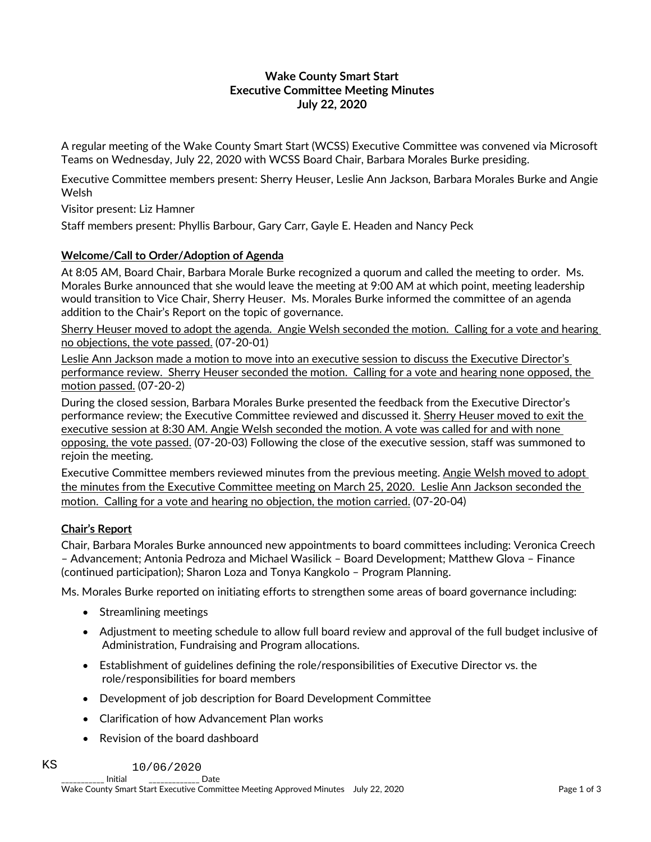### **Wake County Smart Start Executive Committee Meeting Minutes July 22, 2020**

A regular meeting of the Wake County Smart Start (WCSS) Executive Committee was convened via Microsoft Teams on Wednesday, July 22, 2020 with WCSS Board Chair, Barbara Morales Burke presiding.

Executive Committee members present: Sherry Heuser, Leslie Ann Jackson, Barbara Morales Burke and Angie Welsh

Visitor present: Liz Hamner

Staff members present: Phyllis Barbour, Gary Carr, Gayle E. Headen and Nancy Peck

#### **Welcome/Call to Order/Adoption of Agenda**

At 8:05 AM, Board Chair, Barbara Morale Burke recognized a quorum and called the meeting to order. Ms. Morales Burke announced that she would leave the meeting at 9:00 AM at which point, meeting leadership would transition to Vice Chair, Sherry Heuser. Ms. Morales Burke informed the committee of an agenda addition to the Chair's Report on the topic of governance.

Sherry Heuser moved to adopt the agenda. Angie Welsh seconded the motion. Calling for a vote and hearing no objections, the vote passed. (07-20-01)

Leslie Ann Jackson made a motion to move into an executive session to discuss the Executive Director's performance review. Sherry Heuser seconded the motion. Calling for a vote and hearing none opposed, the motion passed. (07-20-2)

During the closed session, Barbara Morales Burke presented the feedback from the Executive Director's performance review; the Executive Committee reviewed and discussed it. Sherry Heuser moved to exit the executive session at 8:30 AM. Angie Welsh seconded the motion. A vote was called for and with none opposing, the vote passed. (07-20-03) Following the close of the executive session, staff was summoned to rejoin the meeting.

Executive Committee members reviewed minutes from the previous meeting. Angie Welsh moved to adopt the minutes from the Executive Committee meeting on March 25, 2020. Leslie Ann Jackson seconded the motion. Calling for a vote and hearing no objection, the motion carried. (07-20-04)

### **Chair's Report**

Chair, Barbara Morales Burke announced new appointments to board committees including: Veronica Creech – Advancement; Antonia Pedroza and Michael Wasilick – Board Development; Matthew Glova – Finance (continued participation); Sharon Loza and Tonya Kangkolo – Program Planning.

Ms. Morales Burke reported on initiating efforts to strengthen some areas of board governance including:

- Streamlining meetings
- Adjustment to meeting schedule to allow full board review and approval of the full budget inclusive of Administration, Fundraising and Program allocations.
- Establishment of guidelines defining the role/responsibilities of Executive Director vs. the role/responsibilities for board members
- Development of job description for Board Development Committee
- Clarification of how Advancement Plan works
- Revision of the board dashboard

\_\_\_\_\_\_\_\_\_\_\_ Initial \_\_\_\_\_\_\_\_\_\_\_\_\_ Date KS 10/06/2020

Wake County Smart Start Executive Committee Meeting Approved Minutes July 22, 2020 Page 1 of 3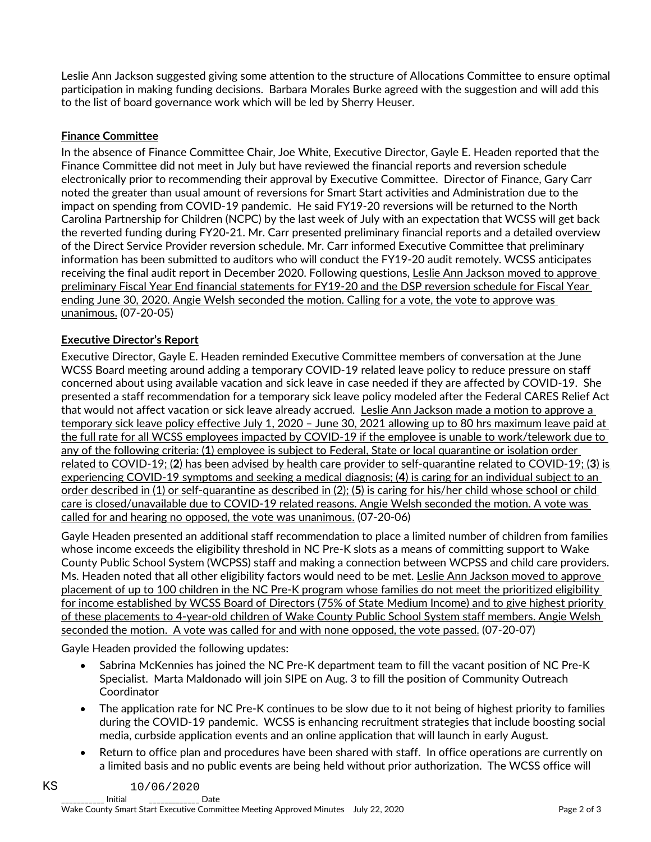Leslie Ann Jackson suggested giving some attention to the structure of Allocations Committee to ensure optimal participation in making funding decisions. Barbara Morales Burke agreed with the suggestion and will add this to the list of board governance work which will be led by Sherry Heuser.

# **Finance Committee**

In the absence of Finance Committee Chair, Joe White, Executive Director, Gayle E. Headen reported that the Finance Committee did not meet in July but have reviewed the financial reports and reversion schedule electronically prior to recommending their approval by Executive Committee. Director of Finance, Gary Carr noted the greater than usual amount of reversions for Smart Start activities and Administration due to the impact on spending from COVID-19 pandemic. He said FY19-20 reversions will be returned to the North Carolina Partnership for Children (NCPC) by the last week of July with an expectation that WCSS will get back the reverted funding during FY20-21. Mr. Carr presented preliminary financial reports and a detailed overview of the Direct Service Provider reversion schedule. Mr. Carr informed Executive Committee that preliminary information has been submitted to auditors who will conduct the FY19-20 audit remotely. WCSS anticipates receiving the final audit report in December 2020. Following questions, Leslie Ann Jackson moved to approve preliminary Fiscal Year End financial statements for FY19-20 and the DSP reversion schedule for Fiscal Year ending June 30, 2020. Angie Welsh seconded the motion. Calling for a vote, the vote to approve was unanimous. (07-20-05)

# **Executive Director's Report**

Executive Director, Gayle E. Headen reminded Executive Committee members of conversation at the June WCSS Board meeting around adding a temporary COVID-19 related leave policy to reduce pressure on staff concerned about using available vacation and sick leave in case needed if they are affected by COVID-19. She presented a staff recommendation for a temporary sick leave policy modeled after the Federal CARES Relief Act that would not affect vacation or sick leave already accrued. Leslie Ann Jackson made a motion to approve a temporary sick leave policy effective July 1, 2020 – June 30, 2021 allowing up to 80 hrs maximum leave paid at the full rate for all WCSS employees impacted by COVID-19 if the employee is unable to work/telework due to any of the following criteria: (**1**) employee is subject to Federal, State or local quarantine or isolation order related to COVID-19; (**2**) has been advised by health care provider to self-quarantine related to COVID-19; (**3**) is experiencing COVID-19 symptoms and seeking a medical diagnosis; (**4**) is caring for an individual subject to an order described in (1) or self-quarantine as described in (2); (**5**) is caring for his/her child whose school or child care is closed/unavailable due to COVID-19 related reasons. Angie Welsh seconded the motion. A vote was called for and hearing no opposed, the vote was unanimous. (07-20-06)

Gayle Headen presented an additional staff recommendation to place a limited number of children from families whose income exceeds the eligibility threshold in NC Pre-K slots as a means of committing support to Wake County Public School System (WCPSS) staff and making a connection between WCPSS and child care providers. Ms. Headen noted that all other eligibility factors would need to be met. Leslie Ann Jackson moved to approve placement of up to 100 children in the NC Pre-K program whose families do not meet the prioritized eligibility for income established by WCSS Board of Directors (75% of State Medium Income) and to give highest priority of these placements to 4-year-old children of Wake County Public School System staff members. Angie Welsh seconded the motion. A vote was called for and with none opposed, the vote passed. (07-20-07)

Gayle Headen provided the following updates:

- Sabrina McKennies has joined the NC Pre-K department team to fill the vacant position of NC Pre-K Specialist. Marta Maldonado will join SIPE on Aug. 3 to fill the position of Community Outreach Coordinator
- The application rate for NC Pre-K continues to be slow due to it not being of highest priority to families during the COVID-19 pandemic. WCSS is enhancing recruitment strategies that include boosting social media, curbside application events and an online application that will launch in early August.
- Return to office plan and procedures have been shared with staff. In office operations are currently on a limited basis and no public events are being held without prior authorization. The WCSS office will